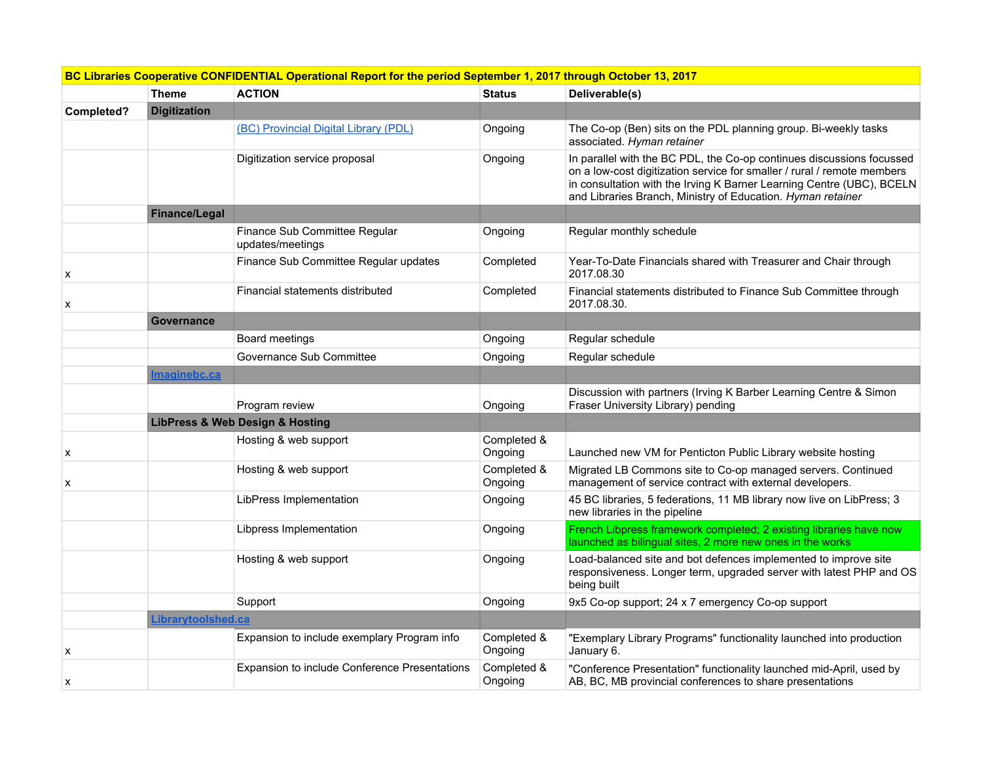| BC Libraries Cooperative CONFIDENTIAL Operational Report for the period September 1, 2017 through October 13, 2017 |                     |                                                   |                        |                                                                                                                                                                                                                                                                                          |  |
|--------------------------------------------------------------------------------------------------------------------|---------------------|---------------------------------------------------|------------------------|------------------------------------------------------------------------------------------------------------------------------------------------------------------------------------------------------------------------------------------------------------------------------------------|--|
|                                                                                                                    | <b>Theme</b>        | <b>ACTION</b>                                     | <b>Status</b>          | Deliverable(s)                                                                                                                                                                                                                                                                           |  |
| Completed?                                                                                                         | <b>Digitization</b> |                                                   |                        |                                                                                                                                                                                                                                                                                          |  |
|                                                                                                                    |                     | (BC) Provincial Digital Library (PDL)             | Ongoing                | The Co-op (Ben) sits on the PDL planning group. Bi-weekly tasks<br>associated. Hyman retainer                                                                                                                                                                                            |  |
|                                                                                                                    |                     | Digitization service proposal                     | Ongoing                | In parallel with the BC PDL, the Co-op continues discussions focussed<br>on a low-cost digitization service for smaller / rural / remote members<br>in consultation with the Irving K Barner Learning Centre (UBC), BCELN<br>and Libraries Branch, Ministry of Education. Hyman retainer |  |
|                                                                                                                    | Finance/Legal       |                                                   |                        |                                                                                                                                                                                                                                                                                          |  |
|                                                                                                                    |                     | Finance Sub Committee Regular<br>updates/meetings | Ongoing                | Regular monthly schedule                                                                                                                                                                                                                                                                 |  |
| х                                                                                                                  |                     | Finance Sub Committee Regular updates             | Completed              | Year-To-Date Financials shared with Treasurer and Chair through<br>2017.08.30                                                                                                                                                                                                            |  |
| X                                                                                                                  |                     | Financial statements distributed                  | Completed              | Financial statements distributed to Finance Sub Committee through<br>2017.08.30.                                                                                                                                                                                                         |  |
|                                                                                                                    | <b>Governance</b>   |                                                   |                        |                                                                                                                                                                                                                                                                                          |  |
|                                                                                                                    |                     | Board meetings                                    | Ongoing                | Regular schedule                                                                                                                                                                                                                                                                         |  |
|                                                                                                                    |                     | Governance Sub Committee                          | Ongoing                | Regular schedule                                                                                                                                                                                                                                                                         |  |
|                                                                                                                    | Imaginebc.ca        |                                                   |                        |                                                                                                                                                                                                                                                                                          |  |
|                                                                                                                    |                     | Program review                                    | Ongoing                | Discussion with partners (Irving K Barber Learning Centre & Simon<br>Fraser University Library) pending                                                                                                                                                                                  |  |
|                                                                                                                    |                     | <b>LibPress &amp; Web Design &amp; Hosting</b>    |                        |                                                                                                                                                                                                                                                                                          |  |
| X                                                                                                                  |                     | Hosting & web support                             | Completed &<br>Ongoing | Launched new VM for Penticton Public Library website hosting                                                                                                                                                                                                                             |  |
| x                                                                                                                  |                     | Hosting & web support                             | Completed &<br>Ongoing | Migrated LB Commons site to Co-op managed servers. Continued<br>management of service contract with external developers.                                                                                                                                                                 |  |
|                                                                                                                    |                     | LibPress Implementation                           | Ongoing                | 45 BC libraries, 5 federations, 11 MB library now live on LibPress; 3<br>new libraries in the pipeline                                                                                                                                                                                   |  |
|                                                                                                                    |                     | Libpress Implementation                           | Ongoing                | French Libpress framework completed; 2 existing libraries have now<br>launched as bilingual sites, 2 more new ones in the works                                                                                                                                                          |  |
|                                                                                                                    |                     | Hosting & web support                             | Ongoing                | Load-balanced site and bot defences implemented to improve site<br>responsiveness. Longer term, upgraded server with latest PHP and OS<br>being built                                                                                                                                    |  |
|                                                                                                                    |                     | Support                                           | Ongoing                | 9x5 Co-op support; 24 x 7 emergency Co-op support                                                                                                                                                                                                                                        |  |
|                                                                                                                    | Librarytoolshed.ca  |                                                   |                        |                                                                                                                                                                                                                                                                                          |  |
| X                                                                                                                  |                     | Expansion to include exemplary Program info       | Completed &<br>Ongoing | "Exemplary Library Programs" functionality launched into production<br>January 6.                                                                                                                                                                                                        |  |
| x                                                                                                                  |                     | Expansion to include Conference Presentations     | Completed &<br>Ongoing | "Conference Presentation" functionality launched mid-April, used by<br>AB, BC, MB provincial conferences to share presentations                                                                                                                                                          |  |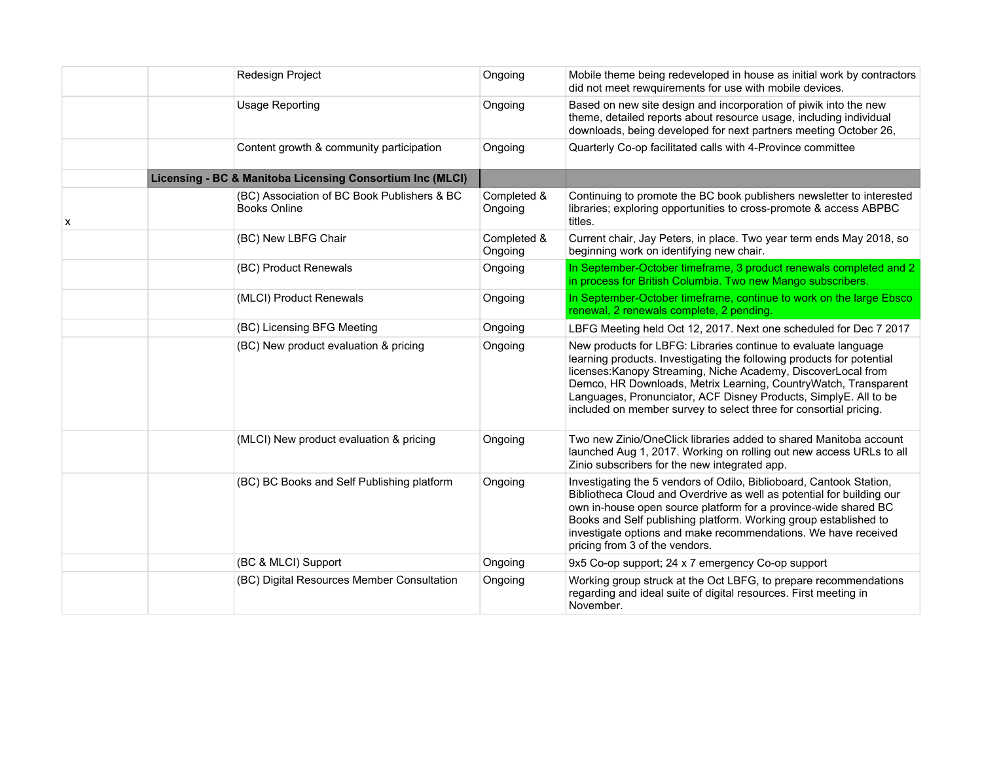|   | Redesign Project                                                   | Ongoing                | Mobile theme being redeveloped in house as initial work by contractors<br>did not meet rewquirements for use with mobile devices.                                                                                                                                                                                                                                                                                    |
|---|--------------------------------------------------------------------|------------------------|----------------------------------------------------------------------------------------------------------------------------------------------------------------------------------------------------------------------------------------------------------------------------------------------------------------------------------------------------------------------------------------------------------------------|
|   | <b>Usage Reporting</b>                                             | Ongoing                | Based on new site design and incorporation of piwik into the new<br>theme, detailed reports about resource usage, including individual<br>downloads, being developed for next partners meeting October 26,                                                                                                                                                                                                           |
|   | Content growth & community participation                           | Ongoing                | Quarterly Co-op facilitated calls with 4-Province committee                                                                                                                                                                                                                                                                                                                                                          |
|   | Licensing - BC & Manitoba Licensing Consortium Inc (MLCI)          |                        |                                                                                                                                                                                                                                                                                                                                                                                                                      |
| х | (BC) Association of BC Book Publishers & BC<br><b>Books Online</b> | Completed &<br>Ongoing | Continuing to promote the BC book publishers newsletter to interested<br>libraries; exploring opportunities to cross-promote & access ABPBC<br>titles.                                                                                                                                                                                                                                                               |
|   | (BC) New LBFG Chair                                                | Completed &<br>Ongoing | Current chair, Jay Peters, in place. Two year term ends May 2018, so<br>beginning work on identifying new chair.                                                                                                                                                                                                                                                                                                     |
|   | (BC) Product Renewals                                              | Ongoing                | In September-October timeframe, 3 product renewals completed and 2<br>in process for British Columbia. Two new Mango subscribers.                                                                                                                                                                                                                                                                                    |
|   | (MLCI) Product Renewals                                            | Ongoing                | In September-October timeframe, continue to work on the large Ebsco<br>renewal, 2 renewals complete, 2 pending.                                                                                                                                                                                                                                                                                                      |
|   | (BC) Licensing BFG Meeting                                         | Ongoing                | LBFG Meeting held Oct 12, 2017. Next one scheduled for Dec 7 2017                                                                                                                                                                                                                                                                                                                                                    |
|   | (BC) New product evaluation & pricing                              | Ongoing                | New products for LBFG: Libraries continue to evaluate language<br>learning products. Investigating the following products for potential<br>licenses: Kanopy Streaming, Niche Academy, DiscoverLocal from<br>Demco, HR Downloads, Metrix Learning, CountryWatch, Transparent<br>Languages, Pronunciator, ACF Disney Products, SimplyE. All to be<br>included on member survey to select three for consortial pricing. |
|   | (MLCI) New product evaluation & pricing                            | Ongoing                | Two new Zinio/OneClick libraries added to shared Manitoba account<br>launched Aug 1, 2017. Working on rolling out new access URLs to all<br>Zinio subscribers for the new integrated app.                                                                                                                                                                                                                            |
|   | (BC) BC Books and Self Publishing platform                         | Ongoing                | Investigating the 5 vendors of Odilo, Biblioboard, Cantook Station,<br>Bibliotheca Cloud and Overdrive as well as potential for building our<br>own in-house open source platform for a province-wide shared BC<br>Books and Self publishing platform. Working group established to<br>investigate options and make recommendations. We have received<br>pricing from 3 of the vendors.                              |
|   | (BC & MLCI) Support                                                | Ongoing                | 9x5 Co-op support; 24 x 7 emergency Co-op support                                                                                                                                                                                                                                                                                                                                                                    |
|   | (BC) Digital Resources Member Consultation                         | Ongoing                | Working group struck at the Oct LBFG, to prepare recommendations<br>regarding and ideal suite of digital resources. First meeting in<br>November.                                                                                                                                                                                                                                                                    |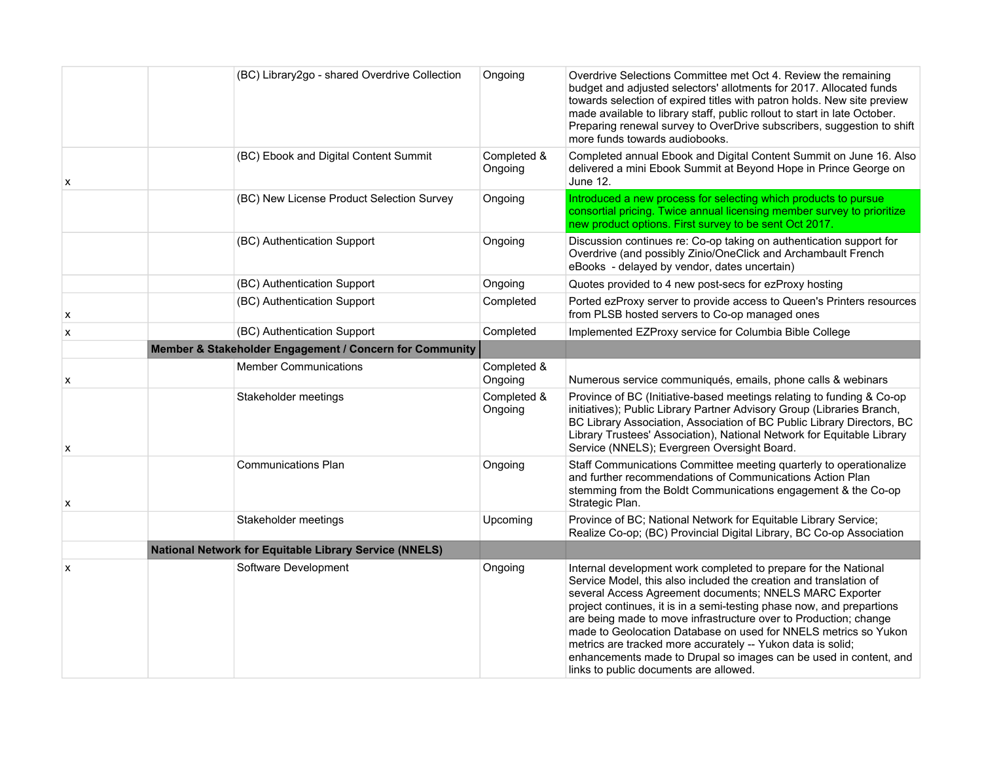|   | (BC) Library2go - shared Overdrive Collection           | Ongoing                | Overdrive Selections Committee met Oct 4. Review the remaining<br>budget and adjusted selectors' allotments for 2017. Allocated funds<br>towards selection of expired titles with patron holds. New site preview<br>made available to library staff, public rollout to start in late October.<br>Preparing renewal survey to OverDrive subscribers, suggestion to shift<br>more funds towards audiobooks.                                                                                                                                                                                     |
|---|---------------------------------------------------------|------------------------|-----------------------------------------------------------------------------------------------------------------------------------------------------------------------------------------------------------------------------------------------------------------------------------------------------------------------------------------------------------------------------------------------------------------------------------------------------------------------------------------------------------------------------------------------------------------------------------------------|
| x | (BC) Ebook and Digital Content Summit                   | Completed &<br>Ongoing | Completed annual Ebook and Digital Content Summit on June 16. Also<br>delivered a mini Ebook Summit at Beyond Hope in Prince George on<br>June 12.                                                                                                                                                                                                                                                                                                                                                                                                                                            |
|   | (BC) New License Product Selection Survey               | Ongoing                | Introduced a new process for selecting which products to pursue<br>consortial pricing. Twice annual licensing member survey to prioritize<br>new product options. First survey to be sent Oct 2017.                                                                                                                                                                                                                                                                                                                                                                                           |
|   | (BC) Authentication Support                             | Ongoing                | Discussion continues re: Co-op taking on authentication support for<br>Overdrive (and possibly Zinio/OneClick and Archambault French<br>eBooks - delayed by vendor, dates uncertain)                                                                                                                                                                                                                                                                                                                                                                                                          |
|   | (BC) Authentication Support                             | Ongoing                | Quotes provided to 4 new post-secs for ezProxy hosting                                                                                                                                                                                                                                                                                                                                                                                                                                                                                                                                        |
| X | (BC) Authentication Support                             | Completed              | Ported ezProxy server to provide access to Queen's Printers resources<br>from PLSB hosted servers to Co-op managed ones                                                                                                                                                                                                                                                                                                                                                                                                                                                                       |
| X | (BC) Authentication Support                             | Completed              | Implemented EZProxy service for Columbia Bible College                                                                                                                                                                                                                                                                                                                                                                                                                                                                                                                                        |
|   | Member & Stakeholder Engagement / Concern for Community |                        |                                                                                                                                                                                                                                                                                                                                                                                                                                                                                                                                                                                               |
| х | <b>Member Communications</b>                            | Completed &<br>Ongoing | Numerous service communiqués, emails, phone calls & webinars                                                                                                                                                                                                                                                                                                                                                                                                                                                                                                                                  |
| X | Stakeholder meetings                                    | Completed &<br>Ongoing | Province of BC (Initiative-based meetings relating to funding & Co-op<br>initiatives); Public Library Partner Advisory Group (Libraries Branch,<br>BC Library Association, Association of BC Public Library Directors, BC<br>Library Trustees' Association), National Network for Equitable Library<br>Service (NNELS); Evergreen Oversight Board.                                                                                                                                                                                                                                            |
| x | <b>Communications Plan</b>                              | Ongoing                | Staff Communications Committee meeting quarterly to operationalize<br>and further recommendations of Communications Action Plan<br>stemming from the Boldt Communications engagement & the Co-op<br>Strategic Plan.                                                                                                                                                                                                                                                                                                                                                                           |
|   | Stakeholder meetings                                    | Upcoming               | Province of BC; National Network for Equitable Library Service;<br>Realize Co-op; (BC) Provincial Digital Library, BC Co-op Association                                                                                                                                                                                                                                                                                                                                                                                                                                                       |
|   | National Network for Equitable Library Service (NNELS)  |                        |                                                                                                                                                                                                                                                                                                                                                                                                                                                                                                                                                                                               |
| х | Software Development                                    | Ongoing                | Internal development work completed to prepare for the National<br>Service Model, this also included the creation and translation of<br>several Access Agreement documents; NNELS MARC Exporter<br>project continues, it is in a semi-testing phase now, and prepartions<br>are being made to move infrastructure over to Production; change<br>made to Geolocation Database on used for NNELS metrics so Yukon<br>metrics are tracked more accurately -- Yukon data is solid;<br>enhancements made to Drupal so images can be used in content, and<br>links to public documents are allowed. |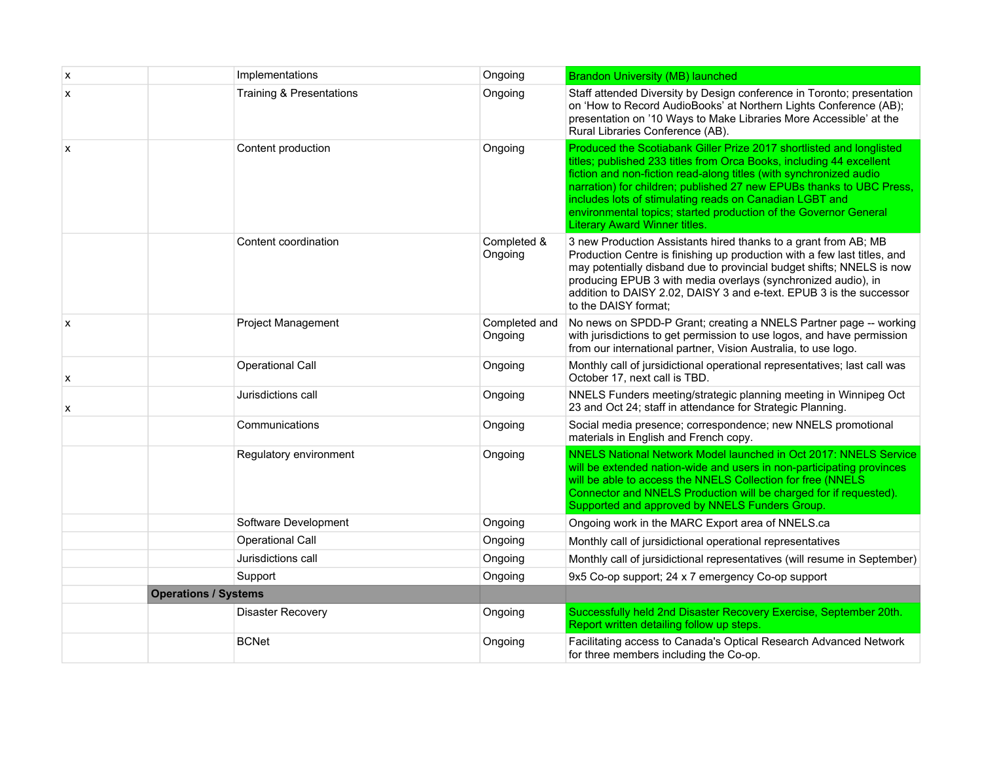| X | Implementations                     | Ongoing                  | <b>Brandon University (MB) launched</b>                                                                                                                                                                                                                                                                                                                                                                                                                           |
|---|-------------------------------------|--------------------------|-------------------------------------------------------------------------------------------------------------------------------------------------------------------------------------------------------------------------------------------------------------------------------------------------------------------------------------------------------------------------------------------------------------------------------------------------------------------|
| X | <b>Training &amp; Presentations</b> | Ongoing                  | Staff attended Diversity by Design conference in Toronto; presentation<br>on 'How to Record AudioBooks' at Northern Lights Conference (AB);<br>presentation on '10 Ways to Make Libraries More Accessible' at the<br>Rural Libraries Conference (AB).                                                                                                                                                                                                             |
| X | Content production                  | Ongoing                  | Produced the Scotiabank Giller Prize 2017 shortlisted and longlisted<br>titles; published 233 titles from Orca Books, including 44 excellent<br>fiction and non-fiction read-along titles (with synchronized audio<br>narration) for children; published 27 new EPUBs thanks to UBC Press,<br>includes lots of stimulating reads on Canadian LGBT and<br>environmental topics; started production of the Governor General<br><b>Literary Award Winner titles.</b> |
|   | Content coordination                | Completed &<br>Ongoing   | 3 new Production Assistants hired thanks to a grant from AB; MB<br>Production Centre is finishing up production with a few last titles, and<br>may potentially disband due to provincial budget shifts; NNELS is now<br>producing EPUB 3 with media overlays (synchronized audio), in<br>addition to DAISY 2.02, DAISY 3 and e-text. EPUB 3 is the successor<br>to the DAISY format;                                                                              |
| X | <b>Project Management</b>           | Completed and<br>Ongoing | No news on SPDD-P Grant; creating a NNELS Partner page -- working<br>with jurisdictions to get permission to use logos, and have permission<br>from our international partner, Vision Australia, to use logo.                                                                                                                                                                                                                                                     |
| X | <b>Operational Call</b>             | Ongoing                  | Monthly call of jursidictional operational representatives; last call was<br>October 17, next call is TBD.                                                                                                                                                                                                                                                                                                                                                        |
| X | Jurisdictions call                  | Ongoing                  | NNELS Funders meeting/strategic planning meeting in Winnipeg Oct<br>23 and Oct 24; staff in attendance for Strategic Planning.                                                                                                                                                                                                                                                                                                                                    |
|   | Communications                      | Ongoing                  | Social media presence; correspondence; new NNELS promotional<br>materials in English and French copy.                                                                                                                                                                                                                                                                                                                                                             |
|   | Regulatory environment              | Ongoing                  | NNELS National Network Model launched in Oct 2017: NNELS Service<br>will be extended nation-wide and users in non-participating provinces<br>will be able to access the NNELS Collection for free (NNELS<br>Connector and NNELS Production will be charged for if requested).<br>Supported and approved by NNELS Funders Group.                                                                                                                                   |
|   | Software Development                | Ongoing                  | Ongoing work in the MARC Export area of NNELS.ca                                                                                                                                                                                                                                                                                                                                                                                                                  |
|   | Operational Call                    | Ongoing                  | Monthly call of jursidictional operational representatives                                                                                                                                                                                                                                                                                                                                                                                                        |
|   | Jurisdictions call                  | Ongoing                  | Monthly call of jursidictional representatives (will resume in September)                                                                                                                                                                                                                                                                                                                                                                                         |
|   | Support                             | Ongoing                  | 9x5 Co-op support; 24 x 7 emergency Co-op support                                                                                                                                                                                                                                                                                                                                                                                                                 |
|   | <b>Operations / Systems</b>         |                          |                                                                                                                                                                                                                                                                                                                                                                                                                                                                   |
|   | Disaster Recovery                   | Ongoing                  | Successfully held 2nd Disaster Recovery Exercise, September 20th.<br>Report written detailing follow up steps.                                                                                                                                                                                                                                                                                                                                                    |
|   | <b>BCNet</b>                        | Ongoing                  | Facilitating access to Canada's Optical Research Advanced Network<br>for three members including the Co-op.                                                                                                                                                                                                                                                                                                                                                       |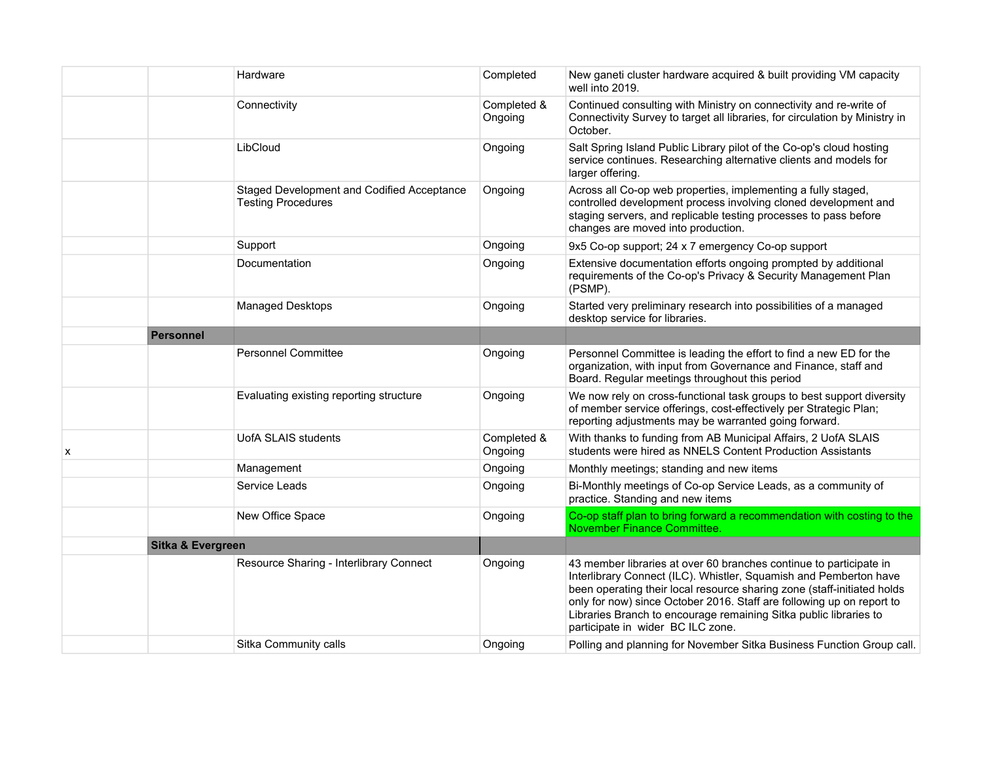|   |                   | Hardware                                                                | Completed              | New ganeti cluster hardware acquired & built providing VM capacity<br>well into 2019.                                                                                                                                                                                                                                                                                                                 |
|---|-------------------|-------------------------------------------------------------------------|------------------------|-------------------------------------------------------------------------------------------------------------------------------------------------------------------------------------------------------------------------------------------------------------------------------------------------------------------------------------------------------------------------------------------------------|
|   |                   | Connectivity                                                            | Completed &<br>Ongoing | Continued consulting with Ministry on connectivity and re-write of<br>Connectivity Survey to target all libraries, for circulation by Ministry in<br>October.                                                                                                                                                                                                                                         |
|   |                   | LibCloud                                                                | Ongoing                | Salt Spring Island Public Library pilot of the Co-op's cloud hosting<br>service continues. Researching alternative clients and models for<br>larger offering.                                                                                                                                                                                                                                         |
|   |                   | Staged Development and Codified Acceptance<br><b>Testing Procedures</b> | Ongoing                | Across all Co-op web properties, implementing a fully staged,<br>controlled development process involving cloned development and<br>staging servers, and replicable testing processes to pass before<br>changes are moved into production.                                                                                                                                                            |
|   |                   | Support                                                                 | Ongoing                | 9x5 Co-op support; 24 x 7 emergency Co-op support                                                                                                                                                                                                                                                                                                                                                     |
|   |                   | Documentation                                                           | Ongoing                | Extensive documentation efforts ongoing prompted by additional<br>requirements of the Co-op's Privacy & Security Management Plan<br>(PSMP).                                                                                                                                                                                                                                                           |
|   |                   | Managed Desktops                                                        | Ongoing                | Started very preliminary research into possibilities of a managed<br>desktop service for libraries.                                                                                                                                                                                                                                                                                                   |
|   | <b>Personnel</b>  |                                                                         |                        |                                                                                                                                                                                                                                                                                                                                                                                                       |
|   |                   | <b>Personnel Committee</b>                                              | Ongoing                | Personnel Committee is leading the effort to find a new ED for the<br>organization, with input from Governance and Finance, staff and<br>Board. Regular meetings throughout this period                                                                                                                                                                                                               |
|   |                   | Evaluating existing reporting structure                                 | Ongoing                | We now rely on cross-functional task groups to best support diversity<br>of member service offerings, cost-effectively per Strategic Plan;<br>reporting adjustments may be warranted going forward.                                                                                                                                                                                                   |
| x |                   | UofA SLAIS students                                                     | Completed &<br>Ongoing | With thanks to funding from AB Municipal Affairs, 2 UofA SLAIS<br>students were hired as NNELS Content Production Assistants                                                                                                                                                                                                                                                                          |
|   |                   | Management                                                              | Ongoing                | Monthly meetings; standing and new items                                                                                                                                                                                                                                                                                                                                                              |
|   |                   | Service Leads                                                           | Ongoing                | Bi-Monthly meetings of Co-op Service Leads, as a community of<br>practice. Standing and new items                                                                                                                                                                                                                                                                                                     |
|   |                   | New Office Space                                                        | Ongoing                | Co-op staff plan to bring forward a recommendation with costing to the<br>November Finance Committee.                                                                                                                                                                                                                                                                                                 |
|   | Sitka & Evergreen |                                                                         |                        |                                                                                                                                                                                                                                                                                                                                                                                                       |
|   |                   | Resource Sharing - Interlibrary Connect                                 | Ongoing                | 43 member libraries at over 60 branches continue to participate in<br>Interlibrary Connect (ILC). Whistler, Squamish and Pemberton have<br>been operating their local resource sharing zone (staff-initiated holds<br>only for now) since October 2016. Staff are following up on report to<br>Libraries Branch to encourage remaining Sitka public libraries to<br>participate in wider BC ILC zone. |
|   |                   | Sitka Community calls                                                   | Ongoing                | Polling and planning for November Sitka Business Function Group call.                                                                                                                                                                                                                                                                                                                                 |